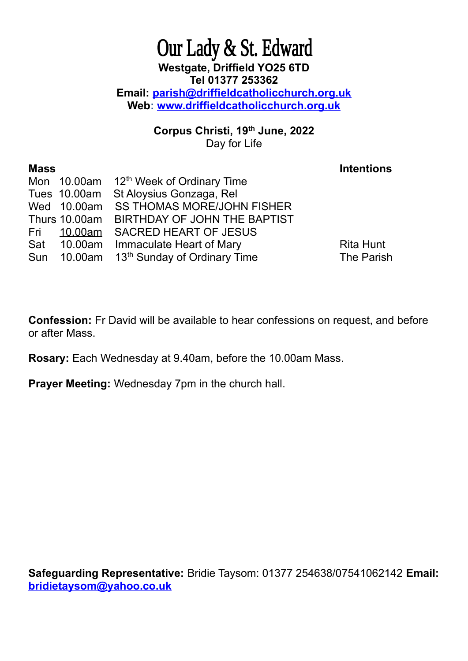## Our Lady & St. Edward **Westgate, Driffield YO25 6TD Tel 01377 253362 Email: [parish@driffieldcatholicchurch.org.uk](mailto:parish@driffieldcatholicchurch.org.uk) Web: [www.driffieldcatholicchurch.org.uk](http://www.driffieldcatholicchurch.org.uk/)**

**Corpus Christi, 19th June, 2022** Day for Life

| <b>Mass</b> |              |                                                      | <b>Intentions</b> |
|-------------|--------------|------------------------------------------------------|-------------------|
|             |              | Mon 10.00am 12 <sup>th</sup> Week of Ordinary Time   |                   |
|             | Tues 10.00am | St Aloysius Gonzaga, Rel                             |                   |
|             | Wed 10.00am  | <b>SS THOMAS MORE/JOHN FISHER</b>                    |                   |
|             |              | Thurs 10.00am BIRTHDAY OF JOHN THE BAPTIST           |                   |
|             | Fri 10.00am  | <b>SACRED HEART OF JESUS</b>                         |                   |
|             |              | Sat 10.00am Immaculate Heart of Mary                 | <b>Rita Hunt</b>  |
|             |              | Sun 10.00am 13 <sup>th</sup> Sunday of Ordinary Time | The Parish        |
|             |              |                                                      |                   |

**Confession:** Fr David will be available to hear confessions on request, and before or after Mass.

**Rosary:** Each Wednesday at 9.40am, before the 10.00am Mass.

**Prayer Meeting:** Wednesday 7pm in the church hall.

**Safeguarding Representative:** Bridie Taysom: 01377 254638/07541062142 **Email: [bridietaysom@yahoo.co.uk](mailto:bridietaysom@yaho.co.uk)**